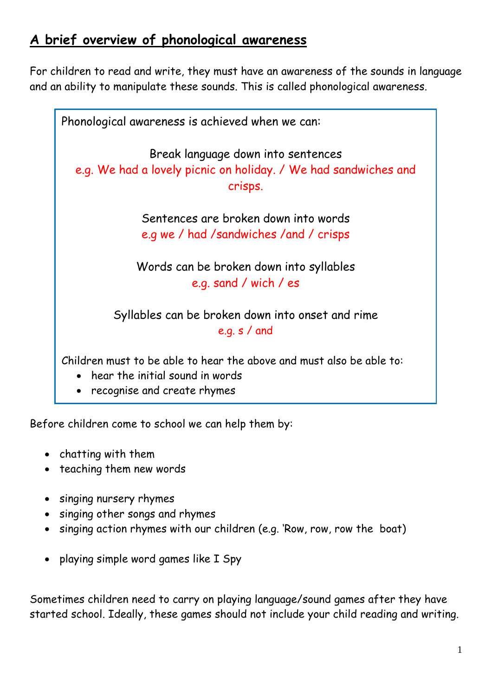## **A brief overview of phonological awareness**

For children to read and write, they must have an awareness of the sounds in language and an ability to manipulate these sounds. This is called phonological awareness.



Before children come to school we can help them by:

- chatting with them
- teaching them new words
- singing nursery rhymes
- singing other songs and rhymes
- singing action rhymes with our children (e.g. 'Row, row, row the boat)
- playing simple word games like I Spy

Sometimes children need to carry on playing language/sound games after they have started school. Ideally, these games should not include your child reading and writing.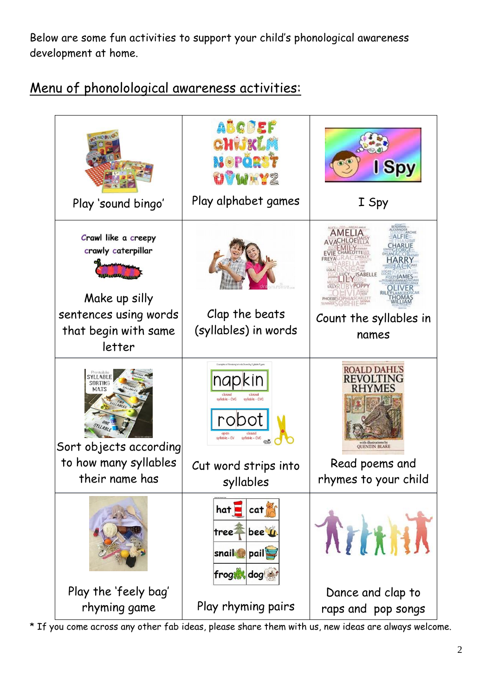Below are some fun activities to support your child's phonological awareness development at home.



### Menu of phonolological awareness activities:

\* If you come across any other fab ideas, please share them with us, new ideas are always welcome.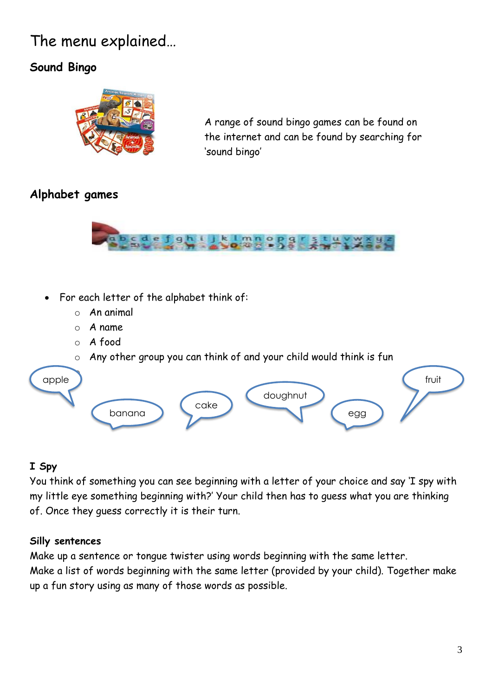# The menu explained…

### **Sound Bingo**



A range of sound bingo games can be found on the internet and can be found by searching for 'sound bingo'

### **Alphabet games**



- For each letter of the alphabet think of:
	- o An animal
	- o A name
	- o A food
	- o Any other group you can think of and your child would think is fun



#### **I Spy**

You think of something you can see beginning with a letter of your choice and say 'I spy with my little eye something beginning with?' Your child then has to guess what you are thinking of. Once they guess correctly it is their turn.

#### **Silly sentences**

Make up a sentence or tongue twister using words beginning with the same letter. Make a list of words beginning with the same letter (provided by your child). Together make up a fun story using as many of those words as possible.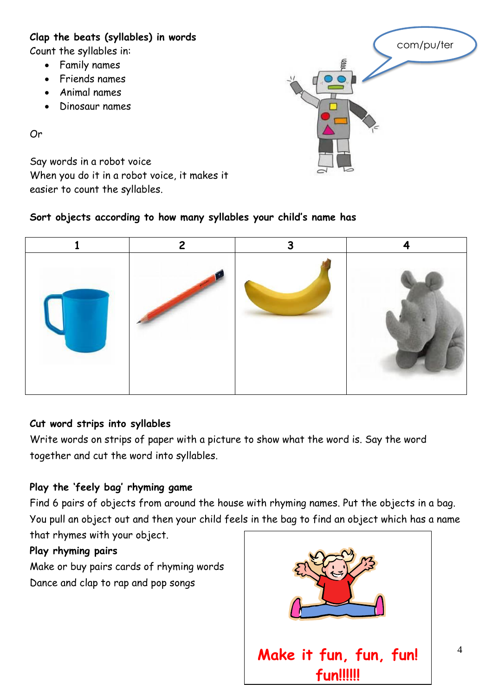#### **Clap the beats (syllables) in words**

Count the syllables in:

- Family names
- Friends names
- Animal names
- Dinosaur names

Or

Say words in a robot voice When you do it in a robot voice, it makes it easier to count the syllables.

#### **Sort objects according to how many syllables your child's name has**



#### **Cut word strips into syllables**

Write words on strips of paper with a picture to show what the word is. Say the word together and cut the word into syllables.

#### **Play the 'feely bag' rhyming game**

Find 6 pairs of objects from around the house with rhyming names. Put the objects in a bag. You pull an object out and then your child feels in the bag to find an object which has a name that rhymes with your object.

#### **Play rhyming pairs**

Make or buy pairs cards of rhyming words Dance and clap to rap and pop songs



com/pu/ter